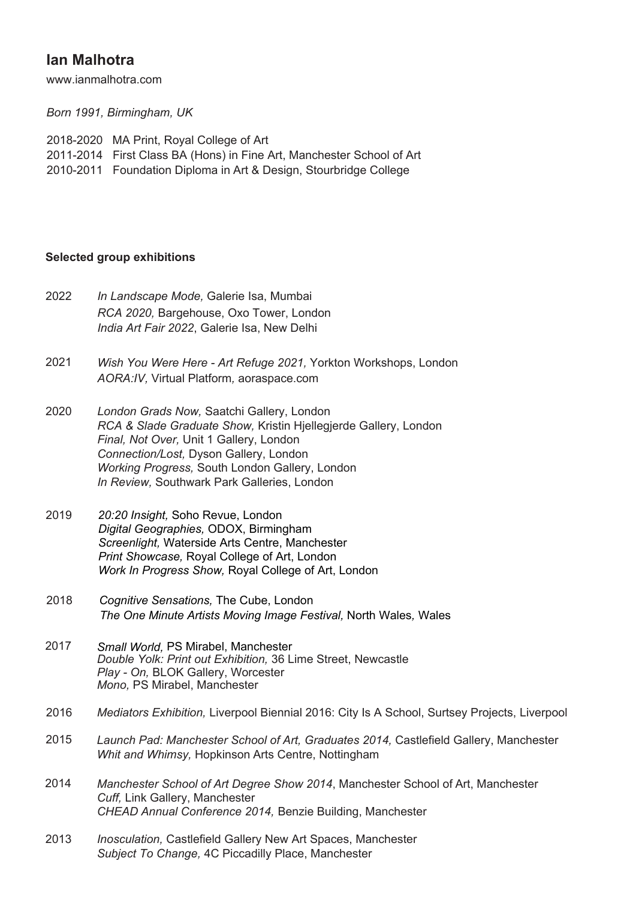# **Ian Malhotra**

www.ianmalhotra.com

*Born 1991, Birmingham, UK*

| 2018-2020 MA Print, Royal College of Art                              |
|-----------------------------------------------------------------------|
| 2011-2014 First Class BA (Hons) in Fine Art, Manchester School of Art |
| 2010-2011 Foundation Diploma in Art & Design, Stourbridge College     |

## **Selected group exhibitions**

| 2022 | In Landscape Mode, Galerie Isa, Mumbai<br>RCA 2020, Bargehouse, Oxo Tower, London<br>India Art Fair 2022, Galerie Isa, New Delhi                                                                                                                                                                   |
|------|----------------------------------------------------------------------------------------------------------------------------------------------------------------------------------------------------------------------------------------------------------------------------------------------------|
| 2021 | Wish You Were Here - Art Refuge 2021, Yorkton Workshops, London<br>AORA:/V, Virtual Platform, aoraspace.com                                                                                                                                                                                        |
| 2020 | London Grads Now, Saatchi Gallery, London<br>RCA & Slade Graduate Show, Kristin Hiellegjerde Gallery, London<br>Final, Not Over, Unit 1 Gallery, London<br>Connection/Lost, Dyson Gallery, London<br>Working Progress, South London Gallery, London<br>In Review, Southwark Park Galleries, London |
| 2019 | 20:20 Insight, Soho Revue, London                                                                                                                                                                                                                                                                  |

- *Digital Geographies,* ODOX, Birmingham *Screenlight,* Waterside Arts Centre, Manchester *Print Showcase,* Royal College of Art, London *Work In Progress Show,* Royal College of Art, London
- 2018 *Cognitive Sensations,* The Cube, London *The One Minute Artists Moving Image Festival,* North Wales*,* Wales
- 2017 *Small World,* PS Mirabel, Manchester *Double Yolk: Print out Exhibition,* 36 Lime Street, Newcastle *Play - On,* BLOK Gallery, Worcester *Mono,* PS Mirabel, Manchester
- 2016 *Mediators Exhibition,* Liverpool Biennial 2016: City Is A School, Surtsey Projects, Liverpool
- 2015 Launch Pad: Manchester School of Art, Graduates 2014, Castlefield Gallery, Manchester *Whit and Whimsy,* Hopkinson Arts Centre, Nottingham
- 2014 *Manchester School of Art Degree Show 2014*, Manchester School of Art, Manchester *Cuff,* Link Gallery, Manchester *CHEAD Annual Conference 2014,* Benzie Building, Manchester
- 2013 *Inosculation,* Castlefield Gallery New Art Spaces, Manchester *Subject To Change,* 4C Piccadilly Place, Manchester